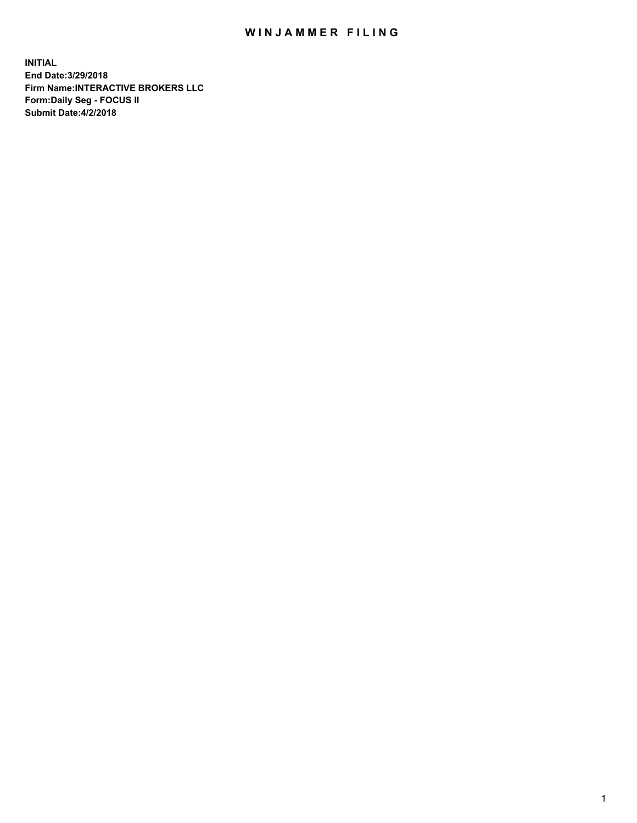## WIN JAMMER FILING

**INITIAL End Date:3/29/2018 Firm Name:INTERACTIVE BROKERS LLC Form:Daily Seg - FOCUS II Submit Date:4/2/2018**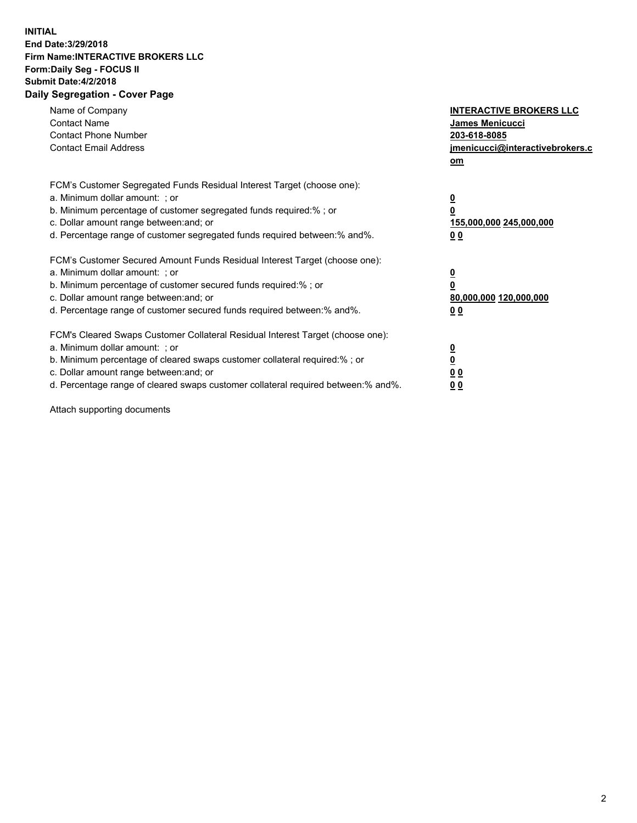## **INITIAL End Date:3/29/2018 Firm Name:INTERACTIVE BROKERS LLC Form:Daily Seg - FOCUS II Submit Date:4/2/2018 Daily Segregation - Cover Page**

| Name of Company<br><b>Contact Name</b><br><b>Contact Phone Number</b><br><b>Contact Email Address</b>                                                                                                                                                                                                                          | <b>INTERACTIVE BROKERS LLC</b><br><b>James Menicucci</b><br>203-618-8085<br>jmenicucci@interactivebrokers.c<br>om |
|--------------------------------------------------------------------------------------------------------------------------------------------------------------------------------------------------------------------------------------------------------------------------------------------------------------------------------|-------------------------------------------------------------------------------------------------------------------|
| FCM's Customer Segregated Funds Residual Interest Target (choose one):<br>a. Minimum dollar amount: ; or<br>b. Minimum percentage of customer segregated funds required:% ; or<br>c. Dollar amount range between: and; or<br>d. Percentage range of customer segregated funds required between: % and %.                       | $\overline{\mathbf{0}}$<br>0<br>155,000,000 245,000,000<br>00                                                     |
| FCM's Customer Secured Amount Funds Residual Interest Target (choose one):<br>a. Minimum dollar amount: ; or<br>b. Minimum percentage of customer secured funds required:%; or<br>c. Dollar amount range between: and; or<br>d. Percentage range of customer secured funds required between: % and %.                          | $\overline{\mathbf{0}}$<br>0<br>80,000,000 120,000,000<br>00                                                      |
| FCM's Cleared Swaps Customer Collateral Residual Interest Target (choose one):<br>a. Minimum dollar amount: ; or<br>b. Minimum percentage of cleared swaps customer collateral required:% ; or<br>c. Dollar amount range between: and; or<br>d. Percentage range of cleared swaps customer collateral required between:% and%. | $\overline{\mathbf{0}}$<br>$\overline{\mathbf{0}}$<br>00<br>0 <sub>0</sub>                                        |

Attach supporting documents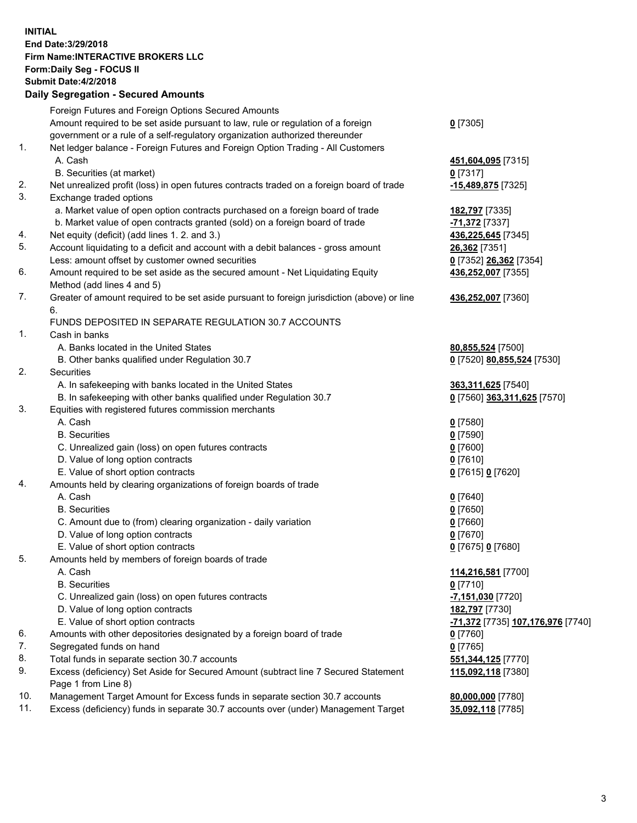## **INITIAL End Date:3/29/2018 Firm Name:INTERACTIVE BROKERS LLC Form:Daily Seg - FOCUS II Submit Date:4/2/2018 Daily Segregation - Secured Amounts**

| $-$ 0.000 0.000 0.000 0.000 0.000 0.000 0.000 0.000 0.000 0.000 0.000 0.000 0.000 0.000 0.000 0.000 0.000 0.000 0.000 0.000 0.000 0.000 0.000 0.000 0.000 0.000 0.000 0.000 0.000 0.000 0.000 0.000 0.000 0.000 0.000 0.000 0 |                                                                                                                                                                                                                                                                                                                                                                                                                                                                                                                                                                                                                                                                                                                                                                                                                                                                                                                                                                                                                                                                                                                                                                                                                                                                                                                                                                                                                                                                                                                                                                                                                                                                                                                                                                                                                |
|-------------------------------------------------------------------------------------------------------------------------------------------------------------------------------------------------------------------------------|----------------------------------------------------------------------------------------------------------------------------------------------------------------------------------------------------------------------------------------------------------------------------------------------------------------------------------------------------------------------------------------------------------------------------------------------------------------------------------------------------------------------------------------------------------------------------------------------------------------------------------------------------------------------------------------------------------------------------------------------------------------------------------------------------------------------------------------------------------------------------------------------------------------------------------------------------------------------------------------------------------------------------------------------------------------------------------------------------------------------------------------------------------------------------------------------------------------------------------------------------------------------------------------------------------------------------------------------------------------------------------------------------------------------------------------------------------------------------------------------------------------------------------------------------------------------------------------------------------------------------------------------------------------------------------------------------------------------------------------------------------------------------------------------------------------|
| Foreign Futures and Foreign Options Secured Amounts                                                                                                                                                                           |                                                                                                                                                                                                                                                                                                                                                                                                                                                                                                                                                                                                                                                                                                                                                                                                                                                                                                                                                                                                                                                                                                                                                                                                                                                                                                                                                                                                                                                                                                                                                                                                                                                                                                                                                                                                                |
| Amount required to be set aside pursuant to law, rule or regulation of a foreign                                                                                                                                              | $0$ [7305]                                                                                                                                                                                                                                                                                                                                                                                                                                                                                                                                                                                                                                                                                                                                                                                                                                                                                                                                                                                                                                                                                                                                                                                                                                                                                                                                                                                                                                                                                                                                                                                                                                                                                                                                                                                                     |
| government or a rule of a self-regulatory organization authorized thereunder                                                                                                                                                  |                                                                                                                                                                                                                                                                                                                                                                                                                                                                                                                                                                                                                                                                                                                                                                                                                                                                                                                                                                                                                                                                                                                                                                                                                                                                                                                                                                                                                                                                                                                                                                                                                                                                                                                                                                                                                |
| Net ledger balance - Foreign Futures and Foreign Option Trading - All Customers                                                                                                                                               |                                                                                                                                                                                                                                                                                                                                                                                                                                                                                                                                                                                                                                                                                                                                                                                                                                                                                                                                                                                                                                                                                                                                                                                                                                                                                                                                                                                                                                                                                                                                                                                                                                                                                                                                                                                                                |
| A. Cash                                                                                                                                                                                                                       | 451,604,095 [7315]                                                                                                                                                                                                                                                                                                                                                                                                                                                                                                                                                                                                                                                                                                                                                                                                                                                                                                                                                                                                                                                                                                                                                                                                                                                                                                                                                                                                                                                                                                                                                                                                                                                                                                                                                                                             |
| B. Securities (at market)                                                                                                                                                                                                     | $0$ [7317]                                                                                                                                                                                                                                                                                                                                                                                                                                                                                                                                                                                                                                                                                                                                                                                                                                                                                                                                                                                                                                                                                                                                                                                                                                                                                                                                                                                                                                                                                                                                                                                                                                                                                                                                                                                                     |
| Net unrealized profit (loss) in open futures contracts traded on a foreign board of trade                                                                                                                                     | -15,489,875 [7325]                                                                                                                                                                                                                                                                                                                                                                                                                                                                                                                                                                                                                                                                                                                                                                                                                                                                                                                                                                                                                                                                                                                                                                                                                                                                                                                                                                                                                                                                                                                                                                                                                                                                                                                                                                                             |
| Exchange traded options                                                                                                                                                                                                       |                                                                                                                                                                                                                                                                                                                                                                                                                                                                                                                                                                                                                                                                                                                                                                                                                                                                                                                                                                                                                                                                                                                                                                                                                                                                                                                                                                                                                                                                                                                                                                                                                                                                                                                                                                                                                |
|                                                                                                                                                                                                                               | 182,797 [7335]                                                                                                                                                                                                                                                                                                                                                                                                                                                                                                                                                                                                                                                                                                                                                                                                                                                                                                                                                                                                                                                                                                                                                                                                                                                                                                                                                                                                                                                                                                                                                                                                                                                                                                                                                                                                 |
|                                                                                                                                                                                                                               | -71,372 [7337]                                                                                                                                                                                                                                                                                                                                                                                                                                                                                                                                                                                                                                                                                                                                                                                                                                                                                                                                                                                                                                                                                                                                                                                                                                                                                                                                                                                                                                                                                                                                                                                                                                                                                                                                                                                                 |
| Net equity (deficit) (add lines 1.2. and 3.)                                                                                                                                                                                  | 436,225,645 [7345]                                                                                                                                                                                                                                                                                                                                                                                                                                                                                                                                                                                                                                                                                                                                                                                                                                                                                                                                                                                                                                                                                                                                                                                                                                                                                                                                                                                                                                                                                                                                                                                                                                                                                                                                                                                             |
|                                                                                                                                                                                                                               | <b>26,362</b> [7351]                                                                                                                                                                                                                                                                                                                                                                                                                                                                                                                                                                                                                                                                                                                                                                                                                                                                                                                                                                                                                                                                                                                                                                                                                                                                                                                                                                                                                                                                                                                                                                                                                                                                                                                                                                                           |
|                                                                                                                                                                                                                               | 0 [7352] 26,362 [7354]                                                                                                                                                                                                                                                                                                                                                                                                                                                                                                                                                                                                                                                                                                                                                                                                                                                                                                                                                                                                                                                                                                                                                                                                                                                                                                                                                                                                                                                                                                                                                                                                                                                                                                                                                                                         |
|                                                                                                                                                                                                                               | 436,252,007 [7355]                                                                                                                                                                                                                                                                                                                                                                                                                                                                                                                                                                                                                                                                                                                                                                                                                                                                                                                                                                                                                                                                                                                                                                                                                                                                                                                                                                                                                                                                                                                                                                                                                                                                                                                                                                                             |
|                                                                                                                                                                                                                               |                                                                                                                                                                                                                                                                                                                                                                                                                                                                                                                                                                                                                                                                                                                                                                                                                                                                                                                                                                                                                                                                                                                                                                                                                                                                                                                                                                                                                                                                                                                                                                                                                                                                                                                                                                                                                |
|                                                                                                                                                                                                                               | 436,252,007 [7360]                                                                                                                                                                                                                                                                                                                                                                                                                                                                                                                                                                                                                                                                                                                                                                                                                                                                                                                                                                                                                                                                                                                                                                                                                                                                                                                                                                                                                                                                                                                                                                                                                                                                                                                                                                                             |
|                                                                                                                                                                                                                               |                                                                                                                                                                                                                                                                                                                                                                                                                                                                                                                                                                                                                                                                                                                                                                                                                                                                                                                                                                                                                                                                                                                                                                                                                                                                                                                                                                                                                                                                                                                                                                                                                                                                                                                                                                                                                |
|                                                                                                                                                                                                                               |                                                                                                                                                                                                                                                                                                                                                                                                                                                                                                                                                                                                                                                                                                                                                                                                                                                                                                                                                                                                                                                                                                                                                                                                                                                                                                                                                                                                                                                                                                                                                                                                                                                                                                                                                                                                                |
|                                                                                                                                                                                                                               |                                                                                                                                                                                                                                                                                                                                                                                                                                                                                                                                                                                                                                                                                                                                                                                                                                                                                                                                                                                                                                                                                                                                                                                                                                                                                                                                                                                                                                                                                                                                                                                                                                                                                                                                                                                                                |
|                                                                                                                                                                                                                               | 80,855,524 [7500]                                                                                                                                                                                                                                                                                                                                                                                                                                                                                                                                                                                                                                                                                                                                                                                                                                                                                                                                                                                                                                                                                                                                                                                                                                                                                                                                                                                                                                                                                                                                                                                                                                                                                                                                                                                              |
|                                                                                                                                                                                                                               | 0 [7520] 80,855,524 [7530]                                                                                                                                                                                                                                                                                                                                                                                                                                                                                                                                                                                                                                                                                                                                                                                                                                                                                                                                                                                                                                                                                                                                                                                                                                                                                                                                                                                                                                                                                                                                                                                                                                                                                                                                                                                     |
|                                                                                                                                                                                                                               |                                                                                                                                                                                                                                                                                                                                                                                                                                                                                                                                                                                                                                                                                                                                                                                                                                                                                                                                                                                                                                                                                                                                                                                                                                                                                                                                                                                                                                                                                                                                                                                                                                                                                                                                                                                                                |
|                                                                                                                                                                                                                               | 363,311,625 [7540]                                                                                                                                                                                                                                                                                                                                                                                                                                                                                                                                                                                                                                                                                                                                                                                                                                                                                                                                                                                                                                                                                                                                                                                                                                                                                                                                                                                                                                                                                                                                                                                                                                                                                                                                                                                             |
|                                                                                                                                                                                                                               | 0 [7560] 363,311,625 [7570]                                                                                                                                                                                                                                                                                                                                                                                                                                                                                                                                                                                                                                                                                                                                                                                                                                                                                                                                                                                                                                                                                                                                                                                                                                                                                                                                                                                                                                                                                                                                                                                                                                                                                                                                                                                    |
|                                                                                                                                                                                                                               |                                                                                                                                                                                                                                                                                                                                                                                                                                                                                                                                                                                                                                                                                                                                                                                                                                                                                                                                                                                                                                                                                                                                                                                                                                                                                                                                                                                                                                                                                                                                                                                                                                                                                                                                                                                                                |
|                                                                                                                                                                                                                               | $0$ [7580]                                                                                                                                                                                                                                                                                                                                                                                                                                                                                                                                                                                                                                                                                                                                                                                                                                                                                                                                                                                                                                                                                                                                                                                                                                                                                                                                                                                                                                                                                                                                                                                                                                                                                                                                                                                                     |
|                                                                                                                                                                                                                               | $0$ [7590]                                                                                                                                                                                                                                                                                                                                                                                                                                                                                                                                                                                                                                                                                                                                                                                                                                                                                                                                                                                                                                                                                                                                                                                                                                                                                                                                                                                                                                                                                                                                                                                                                                                                                                                                                                                                     |
|                                                                                                                                                                                                                               | $0$ [7600]                                                                                                                                                                                                                                                                                                                                                                                                                                                                                                                                                                                                                                                                                                                                                                                                                                                                                                                                                                                                                                                                                                                                                                                                                                                                                                                                                                                                                                                                                                                                                                                                                                                                                                                                                                                                     |
|                                                                                                                                                                                                                               | $0$ [7610]                                                                                                                                                                                                                                                                                                                                                                                                                                                                                                                                                                                                                                                                                                                                                                                                                                                                                                                                                                                                                                                                                                                                                                                                                                                                                                                                                                                                                                                                                                                                                                                                                                                                                                                                                                                                     |
|                                                                                                                                                                                                                               | 0 [7615] 0 [7620]                                                                                                                                                                                                                                                                                                                                                                                                                                                                                                                                                                                                                                                                                                                                                                                                                                                                                                                                                                                                                                                                                                                                                                                                                                                                                                                                                                                                                                                                                                                                                                                                                                                                                                                                                                                              |
|                                                                                                                                                                                                                               |                                                                                                                                                                                                                                                                                                                                                                                                                                                                                                                                                                                                                                                                                                                                                                                                                                                                                                                                                                                                                                                                                                                                                                                                                                                                                                                                                                                                                                                                                                                                                                                                                                                                                                                                                                                                                |
|                                                                                                                                                                                                                               | $0$ [7640]                                                                                                                                                                                                                                                                                                                                                                                                                                                                                                                                                                                                                                                                                                                                                                                                                                                                                                                                                                                                                                                                                                                                                                                                                                                                                                                                                                                                                                                                                                                                                                                                                                                                                                                                                                                                     |
|                                                                                                                                                                                                                               | $0$ [7650]                                                                                                                                                                                                                                                                                                                                                                                                                                                                                                                                                                                                                                                                                                                                                                                                                                                                                                                                                                                                                                                                                                                                                                                                                                                                                                                                                                                                                                                                                                                                                                                                                                                                                                                                                                                                     |
|                                                                                                                                                                                                                               | $0$ [7660]                                                                                                                                                                                                                                                                                                                                                                                                                                                                                                                                                                                                                                                                                                                                                                                                                                                                                                                                                                                                                                                                                                                                                                                                                                                                                                                                                                                                                                                                                                                                                                                                                                                                                                                                                                                                     |
|                                                                                                                                                                                                                               | $0$ [7670]                                                                                                                                                                                                                                                                                                                                                                                                                                                                                                                                                                                                                                                                                                                                                                                                                                                                                                                                                                                                                                                                                                                                                                                                                                                                                                                                                                                                                                                                                                                                                                                                                                                                                                                                                                                                     |
|                                                                                                                                                                                                                               | 0 [7675] 0 [7680]                                                                                                                                                                                                                                                                                                                                                                                                                                                                                                                                                                                                                                                                                                                                                                                                                                                                                                                                                                                                                                                                                                                                                                                                                                                                                                                                                                                                                                                                                                                                                                                                                                                                                                                                                                                              |
|                                                                                                                                                                                                                               |                                                                                                                                                                                                                                                                                                                                                                                                                                                                                                                                                                                                                                                                                                                                                                                                                                                                                                                                                                                                                                                                                                                                                                                                                                                                                                                                                                                                                                                                                                                                                                                                                                                                                                                                                                                                                |
|                                                                                                                                                                                                                               | 114,216,581 [7700]                                                                                                                                                                                                                                                                                                                                                                                                                                                                                                                                                                                                                                                                                                                                                                                                                                                                                                                                                                                                                                                                                                                                                                                                                                                                                                                                                                                                                                                                                                                                                                                                                                                                                                                                                                                             |
|                                                                                                                                                                                                                               | $0$ [7710]                                                                                                                                                                                                                                                                                                                                                                                                                                                                                                                                                                                                                                                                                                                                                                                                                                                                                                                                                                                                                                                                                                                                                                                                                                                                                                                                                                                                                                                                                                                                                                                                                                                                                                                                                                                                     |
|                                                                                                                                                                                                                               | <mark>-7,151,030</mark> [7720]                                                                                                                                                                                                                                                                                                                                                                                                                                                                                                                                                                                                                                                                                                                                                                                                                                                                                                                                                                                                                                                                                                                                                                                                                                                                                                                                                                                                                                                                                                                                                                                                                                                                                                                                                                                 |
|                                                                                                                                                                                                                               | 182,797 [7730]                                                                                                                                                                                                                                                                                                                                                                                                                                                                                                                                                                                                                                                                                                                                                                                                                                                                                                                                                                                                                                                                                                                                                                                                                                                                                                                                                                                                                                                                                                                                                                                                                                                                                                                                                                                                 |
|                                                                                                                                                                                                                               | 71,372 [7735] 107,176,976 [7740]                                                                                                                                                                                                                                                                                                                                                                                                                                                                                                                                                                                                                                                                                                                                                                                                                                                                                                                                                                                                                                                                                                                                                                                                                                                                                                                                                                                                                                                                                                                                                                                                                                                                                                                                                                               |
|                                                                                                                                                                                                                               |                                                                                                                                                                                                                                                                                                                                                                                                                                                                                                                                                                                                                                                                                                                                                                                                                                                                                                                                                                                                                                                                                                                                                                                                                                                                                                                                                                                                                                                                                                                                                                                                                                                                                                                                                                                                                |
|                                                                                                                                                                                                                               | $0$ [7760]<br>$0$ [7765]                                                                                                                                                                                                                                                                                                                                                                                                                                                                                                                                                                                                                                                                                                                                                                                                                                                                                                                                                                                                                                                                                                                                                                                                                                                                                                                                                                                                                                                                                                                                                                                                                                                                                                                                                                                       |
|                                                                                                                                                                                                                               |                                                                                                                                                                                                                                                                                                                                                                                                                                                                                                                                                                                                                                                                                                                                                                                                                                                                                                                                                                                                                                                                                                                                                                                                                                                                                                                                                                                                                                                                                                                                                                                                                                                                                                                                                                                                                |
|                                                                                                                                                                                                                               | 551,344,125 [7770]                                                                                                                                                                                                                                                                                                                                                                                                                                                                                                                                                                                                                                                                                                                                                                                                                                                                                                                                                                                                                                                                                                                                                                                                                                                                                                                                                                                                                                                                                                                                                                                                                                                                                                                                                                                             |
| Page 1 from Line 8)                                                                                                                                                                                                           | 115,092,118 [7380]                                                                                                                                                                                                                                                                                                                                                                                                                                                                                                                                                                                                                                                                                                                                                                                                                                                                                                                                                                                                                                                                                                                                                                                                                                                                                                                                                                                                                                                                                                                                                                                                                                                                                                                                                                                             |
| Management Target Amount for Excess funds in separate section 30.7 accounts                                                                                                                                                   | 80,000,000 [7780]                                                                                                                                                                                                                                                                                                                                                                                                                                                                                                                                                                                                                                                                                                                                                                                                                                                                                                                                                                                                                                                                                                                                                                                                                                                                                                                                                                                                                                                                                                                                                                                                                                                                                                                                                                                              |
| Excess (deficiency) funds in separate 30.7 accounts over (under) Management Target                                                                                                                                            | 35,092,118 [7785]                                                                                                                                                                                                                                                                                                                                                                                                                                                                                                                                                                                                                                                                                                                                                                                                                                                                                                                                                                                                                                                                                                                                                                                                                                                                                                                                                                                                                                                                                                                                                                                                                                                                                                                                                                                              |
|                                                                                                                                                                                                                               | a. Market value of open option contracts purchased on a foreign board of trade<br>b. Market value of open contracts granted (sold) on a foreign board of trade<br>Account liquidating to a deficit and account with a debit balances - gross amount<br>Less: amount offset by customer owned securities<br>Amount required to be set aside as the secured amount - Net Liquidating Equity<br>Method (add lines 4 and 5)<br>Greater of amount required to be set aside pursuant to foreign jurisdiction (above) or line<br>6.<br>FUNDS DEPOSITED IN SEPARATE REGULATION 30.7 ACCOUNTS<br>Cash in banks<br>A. Banks located in the United States<br>B. Other banks qualified under Regulation 30.7<br>Securities<br>A. In safekeeping with banks located in the United States<br>B. In safekeeping with other banks qualified under Regulation 30.7<br>Equities with registered futures commission merchants<br>A. Cash<br><b>B.</b> Securities<br>C. Unrealized gain (loss) on open futures contracts<br>D. Value of long option contracts<br>E. Value of short option contracts<br>Amounts held by clearing organizations of foreign boards of trade<br>A. Cash<br><b>B.</b> Securities<br>C. Amount due to (from) clearing organization - daily variation<br>D. Value of long option contracts<br>E. Value of short option contracts<br>Amounts held by members of foreign boards of trade<br>A. Cash<br><b>B.</b> Securities<br>C. Unrealized gain (loss) on open futures contracts<br>D. Value of long option contracts<br>E. Value of short option contracts<br>Amounts with other depositories designated by a foreign board of trade<br>Segregated funds on hand<br>Total funds in separate section 30.7 accounts<br>Excess (deficiency) Set Aside for Secured Amount (subtract line 7 Secured Statement |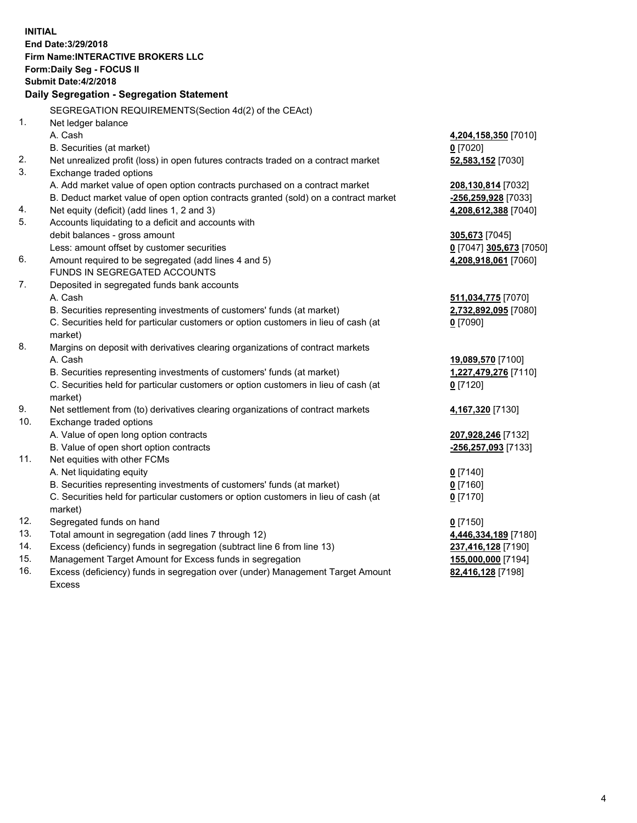**INITIAL End Date:3/29/2018 Firm Name:INTERACTIVE BROKERS LLC Form:Daily Seg - FOCUS II Submit Date:4/2/2018 Daily Segregation - Segregation Statement** SEGREGATION REQUIREMENTS(Section 4d(2) of the CEAct) 1. Net ledger balance A. Cash **4,204,158,350** [7010] B. Securities (at market) **0** [7020] 2. Net unrealized profit (loss) in open futures contracts traded on a contract market **52,583,152** [7030] 3. Exchange traded options A. Add market value of open option contracts purchased on a contract market **208,130,814** [7032] B. Deduct market value of open option contracts granted (sold) on a contract market **-256,259,928** [7033] 4. Net equity (deficit) (add lines 1, 2 and 3) **4,208,612,388** [7040] 5. Accounts liquidating to a deficit and accounts with debit balances - gross amount **305,673** [7045] Less: amount offset by customer securities **0** [7047] **305,673** [7050] 6. Amount required to be segregated (add lines 4 and 5) **4,208,918,061** [7060] FUNDS IN SEGREGATED ACCOUNTS 7. Deposited in segregated funds bank accounts A. Cash **511,034,775** [7070] B. Securities representing investments of customers' funds (at market) **2,732,892,095** [7080] C. Securities held for particular customers or option customers in lieu of cash (at market) **0** [7090] 8. Margins on deposit with derivatives clearing organizations of contract markets A. Cash **19,089,570** [7100] B. Securities representing investments of customers' funds (at market) **1,227,479,276** [7110] C. Securities held for particular customers or option customers in lieu of cash (at market) **0** [7120] 9. Net settlement from (to) derivatives clearing organizations of contract markets **4,167,320** [7130] 10. Exchange traded options A. Value of open long option contracts **207,928,246** [7132] B. Value of open short option contracts **-256,257,093** [7133] 11. Net equities with other FCMs A. Net liquidating equity **0** [7140] B. Securities representing investments of customers' funds (at market) **0** [7160] C. Securities held for particular customers or option customers in lieu of cash (at market) **0** [7170] 12. Segregated funds on hand **0** [7150] 13. Total amount in segregation (add lines 7 through 12) **4,446,334,189** [7180] 14. Excess (deficiency) funds in segregation (subtract line 6 from line 13) **237,416,128** [7190] 15. Management Target Amount for Excess funds in segregation **155,000,000** [7194]

16. Excess (deficiency) funds in segregation over (under) Management Target Amount Excess

**82,416,128** [7198]